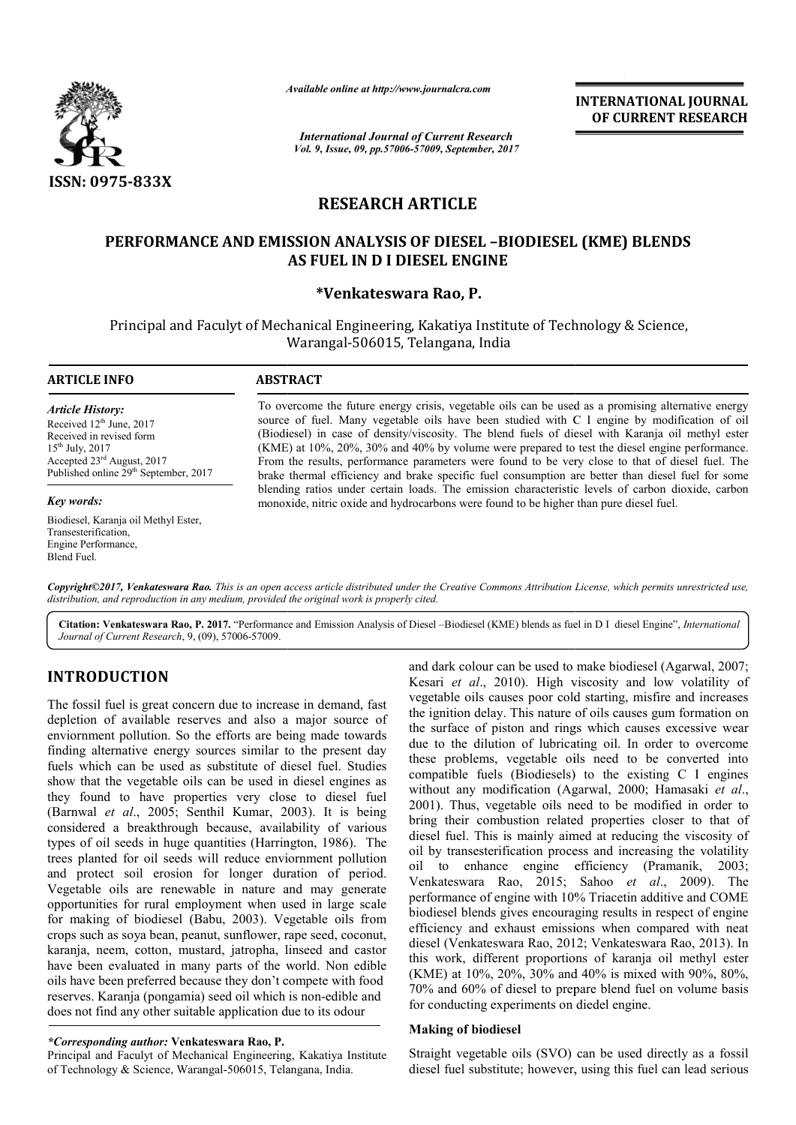

*Available online at http://www.journal http://www.journalcra.com*

*International Journal of Current Research Vol. 9, Issue, 09, pp.57006-57009, September, 2017* **INTERNATIONAL JOURNAL OF CURRENT RESEARCH** 

# **RESEARCH ARTICLE**

# PERFORMANCE AND EMISSION ANALYSIS OF DIESEL -BIODIESEL (KME) BLENDS **AS FUEL IN D I DIESEL ENGINE**

# **\*Venkateswara Rao, P.**

Principal and Faculyt of Mechanical Engineering, Kakatiya Institute of Technology & Science, Warangal Warangal-506015, Telangana, India

### **ARTICLE INFO ABSTRACT**

*Article History:* Received 12<sup>th</sup> June, 2017 Received in revised form 15th July, 2017 Accepted 23rd August, 2017 Published online 29<sup>th</sup> September, 2017

*Key words:*

Biodiesel, Karanja oil Methyl Ester, Transesterification, Engine Performance, Blend Fuel.

To overcome the future energy crisis, vegetable oils can be used as a promising alternative energy source of fuel. Many vegetable oils have been studied with C I engine by modification of oil To overcome the future energy crisis, vegetable oils can be used as a promising alternative energy source of fuel. Many vegetable oils have been studied with C I engine by modification of oil (Biodiesel) in case of density (KME) at 10%, 20%, 30% and 40% by volume were prepared to test the diesel engine performance. From the results, performance parameters were found to be very close to that of diesel fuel. The brake thermal efficiency and brake specific fuel consumption are better than diesel fuel for some blending ratios under certain loads. The emission characteristic levels of carbon dioxide, carbon monoxide, nitric oxide and hydrocarbons were found to be higher than pure diesel fuel. (KME) at 10%, 20%, 30% and 40% by volume were prepared to test the diesel engine performate From the results, performance parameters were found to be very close to that of diesel fuel. brake thermal efficiency and brake sp

*Copyright©2017, Venkateswara Rao. This is an open access article distributed under the Creative Commons Att Attribution License, which ribution permits unrestricted use, distribution, and reproduction in any medium, provided the original work is properly cited.*

Citation: Venkateswara Rao, P. 2017. "Performance and Emission Analysis of Diesel -Biodiesel (KME) blends as fuel in D I diesel Engine", *International Journal of Current Research*, 9, (09), 57006-57009.

# **INTRODUCTION**

The fossil fuel is great concern due to increase in demand, fast depletion of available reserves and also a major source of enviornment pollution. So the efforts are being made towards finding alternative energy sources similar to the present day fuels which can be used as substitute of diesel fuel. Studies show that the vegetable oils can be used in diesel engines as they found to have properties very close to diesel fuel (Barnwal *et al*., 2005; Senthil Kumar, 2003 considered a breakthrough because, availability of various considered a breakthrough because, availability of various types of oil seeds in huge quantities (Harrington, 1986). The trees planted for oil seeds will reduce enviornment pollution and protect soil erosion for longer duration of period. Vegetable oils are renewable in nature and m may generate opportunities for rural employment when used in large scale for making of biodiesel (Babu, 2003). Vegetable oils from crops such as soya bean, peanut, sunflower, rape seed, coconut, karanja, neem, cotton, mustard, jatropha, linseed and castor have been evaluated in many parts of the world. Non edible oils have been preferred because they don't compete with food reserves. Karanja (pongamia) seed oil which is non does not find any other suitable application due to its odour ch can be used as substitute of diesel fuel. Studies<br>t the vegetable oils can be used in diesel engines as<br>nd to have properties very close to diesel fuel<br> $et$  al., 2005; Senthil Kumar, 2003). It is being or making of biodiesel (Babu, 2003). Vegetable oils from<br>rops such as soya bean, peanut, sunflower, rape seed, coconu<br>aranja, neem, cotton, mustard, jatropha, linseed and castc<br>ave been evaluated in many parts of the world

#### *\*Corresponding author:* **Venkateswara Rao, P.**

Principal and Faculyt of Mechanical Engineering, Kakatiya Institute of Technology & Science, Warangal-506015, Telangana, India.

and dark colour can be used to make biodiesel (Agarwal, 2007; Kesari *et al*., 2010). High viscosity and low volatility of vegetable oils causes poor cold starting, misfire and increases the ignition delay. This nature of oils causes gum formation on the surface of piston and rings which causes excessive wear due to the dilution of lubricating oil. In order to overcome these problems, vegetable oils need to be converted into compatible fuels (Biodiesels) to the existing C I engines without any modification (Agarwal, 2000; Hamasaki et al., 2001). Thus, vegetable oils need to be modified in order to bring their combustion related properties closer to that of diesel fuel. This is mainly aimed at reducing the viscosity of oil by transesterification process and increasing the volatility bring their combustion related properties closer to that of diesel fuel. This is mainly aimed at reducing the viscosity of oil by transesterification process and increasing the volatility oil to enhance engine efficiency ( Venkateswara Rao, 2015; Sahoo et al., 2009). The performance of engine with 10% Triacetin additive and COME biodiesel blends gives encouraging results in respect of engine efficiency and exhaust emissions when compared with neat diesel (Venkateswara Rao, 2012; Venkateswara Rao, 2013). In this work, different proportions of karanja oil methyl ester (KME) at 10%, 20%, 30% and 40% is mixed with 90%, 80%, 70% and 60% of diesel to prepare blend fuel on volume basis for conducting experiments on diedel engine. ari *et al.*, 2010). High viscosity and low volatility of etable oils causes poor cold starting, misfire and increases ignition delay. This nature of oils causes gum formation on surface of piston and rings which causes ex performance of engine with 10% Triacetin additive and COME<br>biodiesel blends gives encouraging results in respect of engine<br>efficiency and exhaust emissions when compared with neat<br>diesel (Venkateswara Rao, 2012; Venkateswa **INTERNATIONAL JOURNAL (GEVALUS MEL CONTROVAL LOURNAL CONTROVAL CONTROVAL CONTROVAL CONTROVAL CONTROVAL CONTROVAL CONTROVAL CONTROVAL (SUPPRESS AND AND WELL CONTROVAL CONTROVAL CONTROVAL (KME) BLENDIS (ESSEL ENGINE) THE B** 

## **Making of biodiesel**

Straight vegetable oils (SVO) can be used directly as a fossil diesel fuel substitute; however, using this fuel can lead serious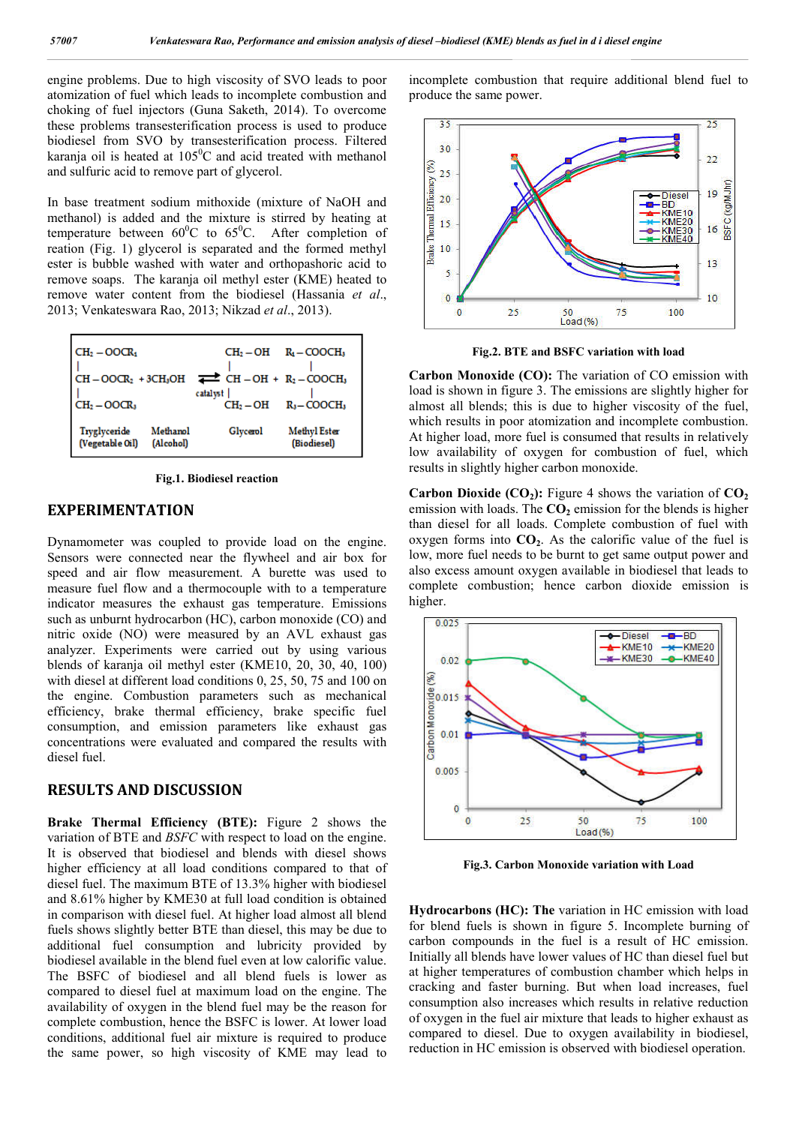engine problems. Due to high viscosity of SVO leads to poor atomization of fuel which leads to incomplete combustion and choking of fuel injectors (Guna Saketh, 2014). To overcome these problems transesterification process is used to produce biodiesel from SVO by transesterification process. Filtered karanja oil is heated at  $105^{\circ}$ C and acid treated with methanol and sulfuric acid to remove part of glycerol.

In base treatment sodium mithoxide (mixture of NaOH and methanol) is added and the mixture is stirred by heating at temperature between  $60^{\circ}$ C to  $65^{\circ}$ C. After completion of reation (Fig. 1) glycerol is separated and the formed methyl ester is bubble washed with water and orthopashoric acid to remove soaps. The karanja oil methyl ester (KME) heated to remove water content from the biodiesel (Hassania *et al*., 2013; Venkateswara Rao, 2013; Nikzad *et al*., 2013).



**Fig.1. Biodiesel reaction**

## **EXPERIMENTATION**

Dynamometer was coupled to provide load on the engine. Sensors were connected near the flywheel and air box for speed and air flow measurement. A burette was used to measure fuel flow and a thermocouple with to a temperature indicator measures the exhaust gas temperature. Emissions such as unburnt hydrocarbon (HC), carbon monoxide (CO) and nitric oxide (NO) were measured by an AVL exhaust gas analyzer. Experiments were carried out by using various blends of karanja oil methyl ester (KME10, 20, 30, 40, 100) with diesel at different load conditions 0, 25, 50, 75 and 100 on the engine. Combustion parameters such as mechanical efficiency, brake thermal efficiency, brake specific fuel consumption, and emission parameters like exhaust gas concentrations were evaluated and compared the results with diesel fuel.

# **RESULTS AND DISCUSSION**

**Brake Thermal Efficiency (BTE):** Figure 2 shows the variation of BTE and *BSFC* with respect to load on the engine. It is observed that biodiesel and blends with diesel shows higher efficiency at all load conditions compared to that of diesel fuel. The maximum BTE of 13.3% higher with biodiesel and 8.61% higher by KME30 at full load condition is obtained in comparison with diesel fuel. At higher load almost all blend fuels shows slightly better BTE than diesel, this may be due to additional fuel consumption and lubricity provided by biodiesel available in the blend fuel even at low calorific value. The BSFC of biodiesel and all blend fuels is lower as compared to diesel fuel at maximum load on the engine. The availability of oxygen in the blend fuel may be the reason for complete combustion, hence the BSFC is lower. At lower load conditions, additional fuel air mixture is required to produce the same power, so high viscosity of KME may lead to

incomplete combustion that require additional blend fuel to produce the same power.



**Fig.2. BTE and BSFC variation with load**

**Carbon Monoxide (CO):** The variation of CO emission with load is shown in figure 3. The emissions are slightly higher for almost all blends; this is due to higher viscosity of the fuel, which results in poor atomization and incomplete combustion. At higher load, more fuel is consumed that results in relatively low availability of oxygen for combustion of fuel, which results in slightly higher carbon monoxide.

**Carbon Dioxide (CO<sub>2</sub>):** Figure 4 shows the variation of  $CO<sub>2</sub>$ emission with loads. The  $CO<sub>2</sub>$  emission for the blends is higher than diesel for all loads. Complete combustion of fuel with oxygen forms into  $CO<sub>2</sub>$ . As the calorific value of the fuel is low, more fuel needs to be burnt to get same output power and also excess amount oxygen available in biodiesel that leads to complete combustion; hence carbon dioxide emission is higher.



**Fig.3. Carbon Monoxide variation with Load**

**Hydrocarbons (HC): The** variation in HC emission with load for blend fuels is shown in figure 5. Incomplete burning of carbon compounds in the fuel is a result of HC emission. Initially all blends have lower values of HC than diesel fuel but at higher temperatures of combustion chamber which helps in cracking and faster burning. But when load increases, fuel consumption also increases which results in relative reduction of oxygen in the fuel air mixture that leads to higher exhaust as compared to diesel. Due to oxygen availability in biodiesel, reduction in HC emission is observed with biodiesel operation.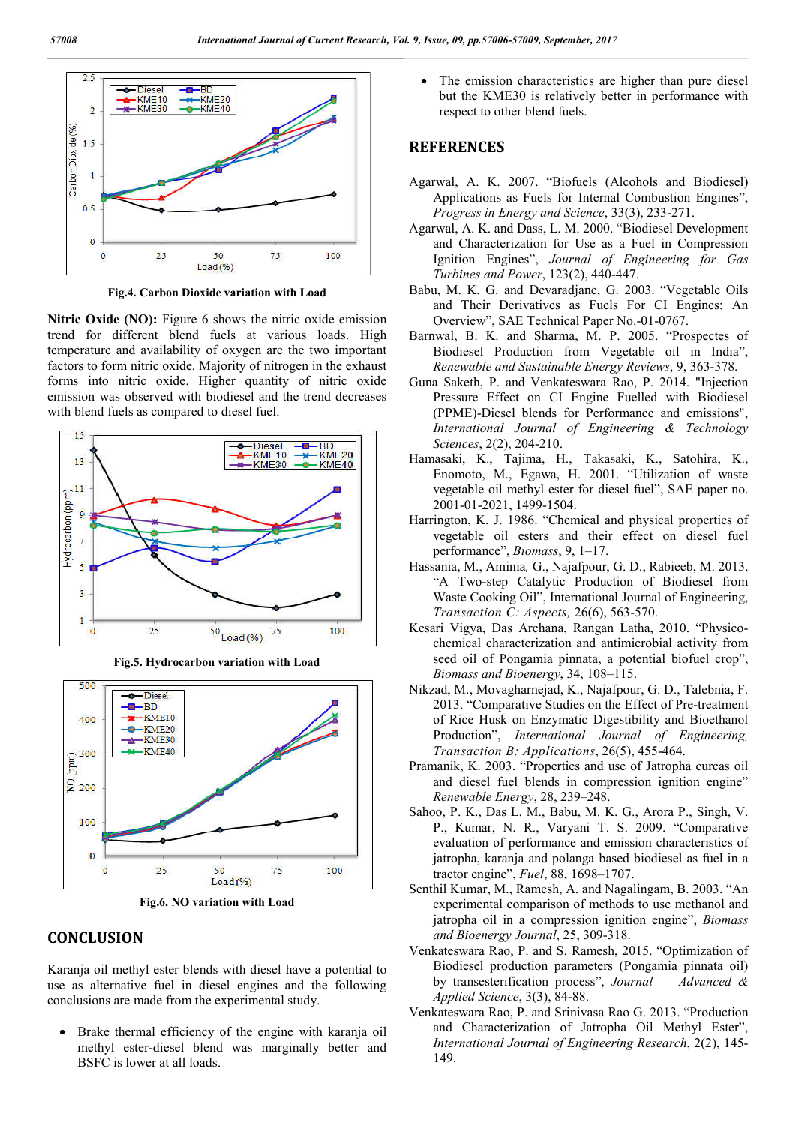

**Fig.4. Carbon Dioxide variation with Load**

**Nitric Oxide (NO):** Figure 6 shows the nitric oxide emission trend for different blend fuels at various loads. High temperature and availability of oxygen are the two important factors to form nitric oxide. Majority of nitrogen in the exhaust forms into nitric oxide. Higher quantity of nitric oxide emission was observed with biodiesel and the trend decreases with blend fuels as compared to diesel fuel.







**Fig.6. NO variation with Load**

# **CONCLUSION**

Karanja oil methyl ester blends with diesel have a potential to use as alternative fuel in diesel engines and the following conclusions are made from the experimental study.

 Brake thermal efficiency of the engine with karanja oil methyl ester-diesel blend was marginally better and BSFC is lower at all loads.

 The emission characteristics are higher than pure diesel but the KME30 is relatively better in performance with respect to other blend fuels.

## **REFERENCES**

- Agarwal, A. K. 2007. "Biofuels (Alcohols and Biodiesel) Applications as Fuels for Internal Combustion Engines", *Progress in Energy and Science*, 33(3), 233-271.
- Agarwal, A. K. and Dass, L. M. 2000. "Biodiesel Development and Characterization for Use as a Fuel in Compression Ignition Engines", *Journal of Engineering for Gas Turbines and Power*, 123(2), 440-447.
- Babu, M. K. G. and Devaradjane, G. 2003. "Vegetable Oils and Their Derivatives as Fuels For CI Engines: An Overview", SAE Technical Paper No.-01-0767.
- Barnwal, B. K. and Sharma, M. P. 2005. "Prospectes of Biodiesel Production from Vegetable oil in India", *Renewable and Sustainable Energy Reviews*, 9, 363-378.
- Guna Saketh, P. and Venkateswara Rao, P. 2014. "Injection Pressure Effect on CI Engine Fuelled with Biodiesel (PPME)-Diesel blends for Performance and emissions", *International Journal of Engineering & Technology Sciences*, 2(2), 204-210.
- Hamasaki, K., Tajima, H., Takasaki, K., Satohira, K., Enomoto, M., Egawa, H. 2001. "Utilization of waste vegetable oil methyl ester for diesel fuel", SAE paper no. 2001-01-2021, 1499-1504.
- Harrington, K. J. 1986. "Chemical and physical properties of vegetable oil esters and their effect on diesel fuel performance", *Biomass*, 9, 1–17.
- Hassania, M., Aminia*,* G., Najafpour, G. D., Rabieeb, M. 2013. "A Two-step Catalytic Production of Biodiesel from Waste Cooking Oil", International Journal of Engineering, *Transaction C: Aspects,* 26(6), 563-570.
- Kesari Vigya, Das Archana, Rangan Latha, 2010. "Physicochemical characterization and antimicrobial activity from seed oil of Pongamia pinnata, a potential biofuel crop", *Biomass and Bioenergy*, 34, 108–115.
- Nikzad, M., Movagharnejad, K., Najafpour, G. D., Talebnia, F. 2013. "Comparative Studies on the Effect of Pre-treatment of Rice Husk on Enzymatic Digestibility and Bioethanol Production", *International Journal of Engineering, Transaction B: Applications*, 26(5), 455-464.
- Pramanik, K. 2003. "Properties and use of Jatropha curcas oil and diesel fuel blends in compression ignition engine" *Renewable Energy*, 28, 239–248.
- Sahoo, P. K., Das L. M., Babu, M. K. G., Arora P., Singh, V. P., Kumar, N. R., Varyani T. S. 2009. "Comparative evaluation of performance and emission characteristics of jatropha, karanja and polanga based biodiesel as fuel in a tractor engine", *Fuel*, 88, 1698–1707.
- Senthil Kumar, M., Ramesh, A. and Nagalingam, B. 2003. "An experimental comparison of methods to use methanol and jatropha oil in a compression ignition engine", *Biomass and Bioenergy Journal*, 25, 309-318.
- Venkateswara Rao, P. and S. Ramesh, 2015. "Optimization of Biodiesel production parameters (Pongamia pinnata oil) by transesterification process", *Journal Advanced & Applied Science*, 3(3), 84-88.
- Venkateswara Rao, P. and Srinivasa Rao G. 2013. "Production and Characterization of Jatropha Oil Methyl Ester", *International Journal of Engineering Research*, 2(2), 145- 149.